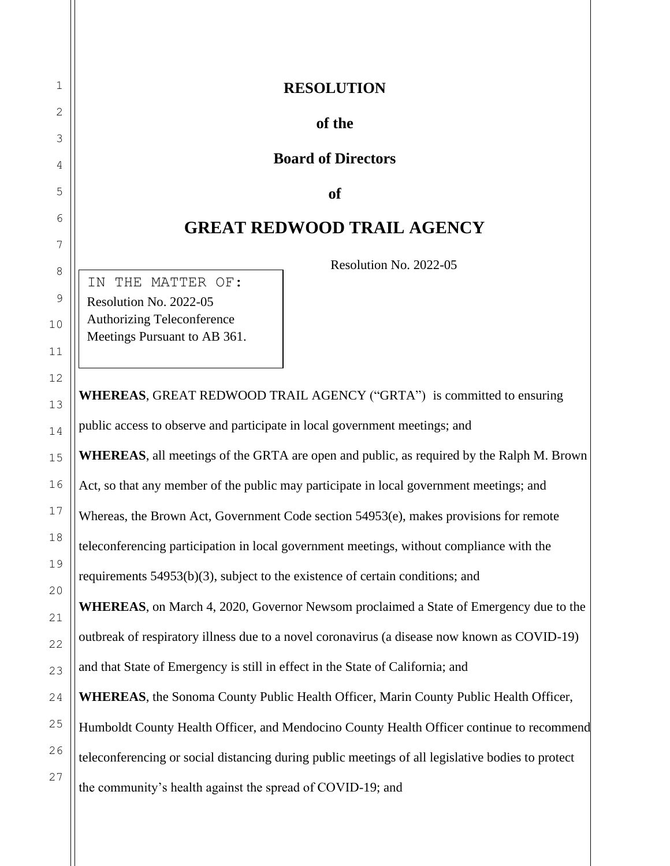# **RESOLUTION**

### **of the**

#### **Board of Directors**

#### **of**

## **GREAT REDWOOD TRAIL AGENCY**

Resolution No. 2022-05

IN THE MATTER OF: Resolution No. 2022-05 Authorizing Teleconference Meetings Pursuant to AB 361.

**WHEREAS**, GREAT REDWOOD TRAIL AGENCY ("GRTA") is committed to ensuring public access to observe and participate in local government meetings; and **WHEREAS**, all meetings of the GRTA are open and public, as required by the Ralph M. Brown Act, so that any member of the public may participate in local government meetings; and Whereas, the Brown Act, Government Code section 54953(e), makes provisions for remote teleconferencing participation in local government meetings, without compliance with the requirements 54953(b)(3), subject to the existence of certain conditions; and **WHEREAS**, on March 4, 2020, Governor Newsom proclaimed a State of Emergency due to the outbreak of respiratory illness due to a novel coronavirus (a disease now known as COVID-19) and that State of Emergency is still in effect in the State of California; and **WHEREAS**, the Sonoma County Public Health Officer, Marin County Public Health Officer, Humboldt County Health Officer, and Mendocino County Health Officer continue to recommend teleconferencing or social distancing during public meetings of all legislative bodies to protect the community's health against the spread of COVID-19; and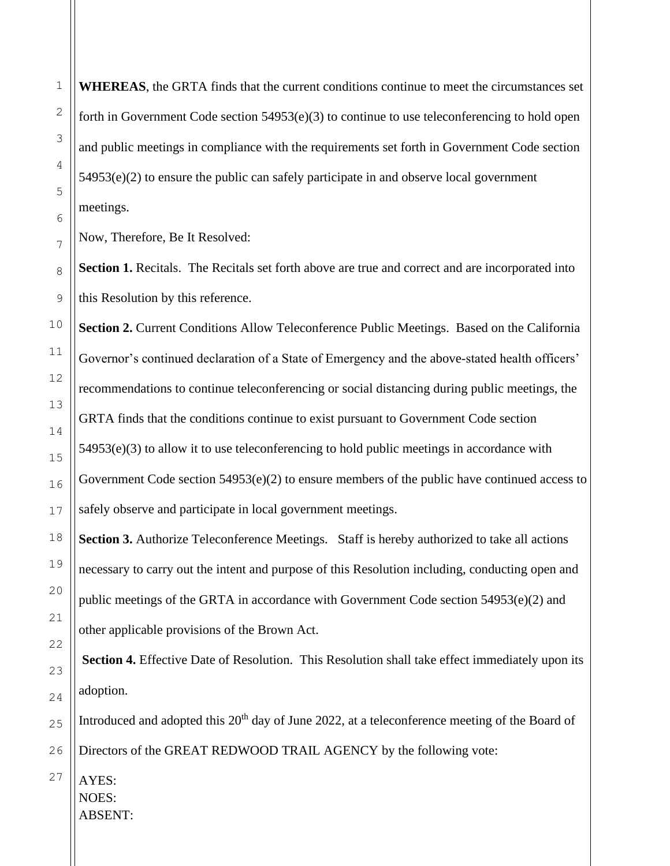**WHEREAS**, the GRTA finds that the current conditions continue to meet the circumstances set forth in Government Code section  $54953(e)(3)$  to continue to use teleconferencing to hold open and public meetings in compliance with the requirements set forth in Government Code section 54953(e)(2) to ensure the public can safely participate in and observe local government meetings.

Now, Therefore, Be It Resolved:

**Section 1.** Recitals. The Recitals set forth above are true and correct and are incorporated into this Resolution by this reference.

**Section 2.** Current Conditions Allow Teleconference Public Meetings. Based on the California Governor's continued declaration of a State of Emergency and the above-stated health officers' recommendations to continue teleconferencing or social distancing during public meetings, the GRTA finds that the conditions continue to exist pursuant to Government Code section  $54953(e)(3)$  to allow it to use teleconferencing to hold public meetings in accordance with Government Code section  $54953(e)(2)$  to ensure members of the public have continued access to safely observe and participate in local government meetings.

**Section 3.** Authorize Teleconference Meetings. Staff is hereby authorized to take all actions necessary to carry out the intent and purpose of this Resolution including, conducting open and public meetings of the GRTA in accordance with Government Code section 54953(e)(2) and other applicable provisions of the Brown Act.

**Section 4.** Effective Date of Resolution. This Resolution shall take effect immediately upon its adoption.

Introduced and adopted this  $20<sup>th</sup>$  day of June 2022, at a teleconference meeting of the Board of Directors of the GREAT REDWOOD TRAIL AGENCY by the following vote:

AYES: NOES: ABSENT: